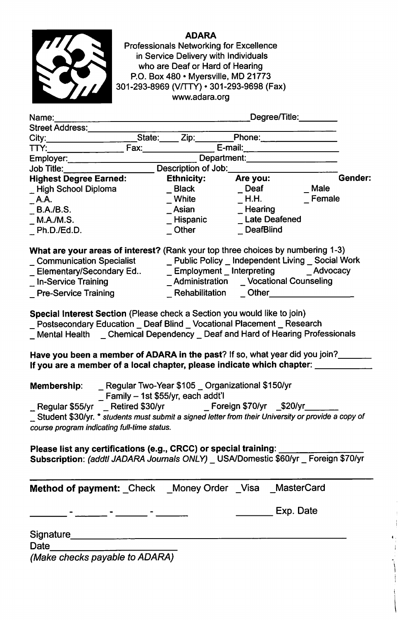

ADARA Professionals Networking for Excellence in Service Delivery with individuals who are Deaf or Hard of Hearing P.O. Box 480 • Myersville, MD 21773 301-293-8969 (V/TTY) • 301-293-9698 (Fax) www.adara.org

| Name:                                                                                                                                                                                                                                                                                                                                     |                                     | Degree/Title:                                      |           |
|-------------------------------------------------------------------------------------------------------------------------------------------------------------------------------------------------------------------------------------------------------------------------------------------------------------------------------------------|-------------------------------------|----------------------------------------------------|-----------|
| Street Address:                                                                                                                                                                                                                                                                                                                           |                                     |                                                    |           |
| City:____________                                                                                                                                                                                                                                                                                                                         |                                     | State: Zip: Phone:                                 |           |
| Fax:<br>TTY:                                                                                                                                                                                                                                                                                                                              |                                     |                                                    |           |
| Employer:                                                                                                                                                                                                                                                                                                                                 | Department:                         |                                                    |           |
| Job Title:                                                                                                                                                                                                                                                                                                                                | Description of Job:                 |                                                    |           |
| <b>Highest Degree Earned:</b>                                                                                                                                                                                                                                                                                                             | <b>Ethnicity:</b>                   | Are you:                                           | Gender:   |
| _High School Diploma                                                                                                                                                                                                                                                                                                                      | $\_$ Black                          | $\sqrt{ }$ Deaf                                    | Male      |
| $\_$ A.A.                                                                                                                                                                                                                                                                                                                                 | $\_$ White                          | $\_$ H.H.                                          | Female    |
| B.A./B.S.                                                                                                                                                                                                                                                                                                                                 | <sub>_</sub> Asian                  | Hearing                                            |           |
| M.A./M.S.                                                                                                                                                                                                                                                                                                                                 | Hispanic                            | <b>Late Deafened</b>                               |           |
| Ph.D./Ed.D.                                                                                                                                                                                                                                                                                                                               | $\_$ Other                          | _DeafBlind                                         |           |
| What are your areas of interest? (Rank your top three choices by numbering 1-3)<br>_ Communication Specialist __________ Public Policy _ Independent Living _ Social Work<br>_ Elementary/Secondary Ed<br>_In-Service Training<br><b>Pre-Service Training</b><br>Special Interest Section (Please check a Section you would like to join) | Rehabilitation                      | Administration _ Vocational Counseling<br>Other    |           |
| Postsecondary Education _ Deaf Blind _ Vocational Placement _ Research<br>Mental Health _ Chemical Dependency _ Deaf and Hard of Hearing Professionals<br>Have you been a member of ADARA in the past? If so, what year did you join?                                                                                                     |                                     |                                                    |           |
| If you are a member of a local chapter, please indicate which chapter: ____                                                                                                                                                                                                                                                               |                                     |                                                    |           |
| Membership:<br>Regular \$55/yr<br>Student \$30/yr. * students must submit a signed letter from their University or provide a copy of<br>course program indicating full-time status.                                                                                                                                                       | _ Family - 1st \$55/yr, each addt'l | _ Regular Two-Year \$105 _ Organizational \$150/yr |           |
| Please list any certifications (e.g., CRCC) or special training: _____<br>Subscription: (addtl JADARA Journals ONLY) _ USA/Domestic \$60/yr _ Foreign \$70/yr                                                                                                                                                                             |                                     |                                                    |           |
| Method of payment: _Check _Money Order _Visa _MasterCard                                                                                                                                                                                                                                                                                  |                                     |                                                    |           |
|                                                                                                                                                                                                                                                                                                                                           |                                     |                                                    | Exp. Date |
| Signature_                                                                                                                                                                                                                                                                                                                                |                                     |                                                    |           |
| <b>Date</b>                                                                                                                                                                                                                                                                                                                               |                                     |                                                    |           |
| Makeo chooleo newabla to ADADA                                                                                                                                                                                                                                                                                                            |                                     |                                                    |           |

(Make checks payable to ADARA)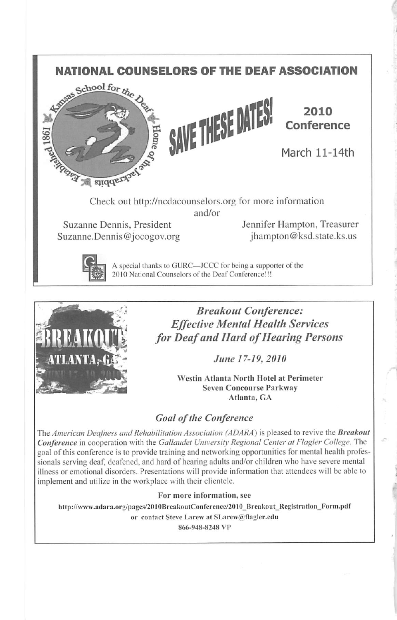## NATIONAL COUNSELORS OF THE DEAF ASSOCIATION<br>And the school for  $\theta_{\text{te}}$





2010 **Conference** 

March 11-14th

Check out http://ncdacounselors.org for more information and/or

Suzanne Dennis. President Jennifer Hampton, Treasurer Suzanne.Dennis@jocogov.org jhampton@ksd.state.ks.us



A special thanks to GURC—JCCC for being a supporter of the 2010 National Counselors of the Deaf Conference!!!



Breakout Conference: Effective Mental Health Services for Deaf and Hard of Hearing Persons

June 17-19, 2010

Westin Atlanta North Hotel at Perimeter Seven Concourse Parkway Atlanta, GA

## Goal of the Conference

The American Deafness and Rehabilitation Association (ADARA) is pleased to revive the Breakout Conference in cooperation with the Gallaudet University Regional Center at Flagler College. The goal of this conference is to provide training and networking opportunities for mental health profes sionals serving deaf, deafened, and hard of hearing adults and/or children who have severe mental illness or emotional disorders. Presentations will provide information that attendees will be able to implement and utilize in the workplace with their clientele.

## For more information, see

http://www.adara.org/pages/2010BreakoutConference/2010 Breakout Registration\_Form.pdf

or contact Steve Larew at SLarew@flagler.edu

866-948-8248 VP